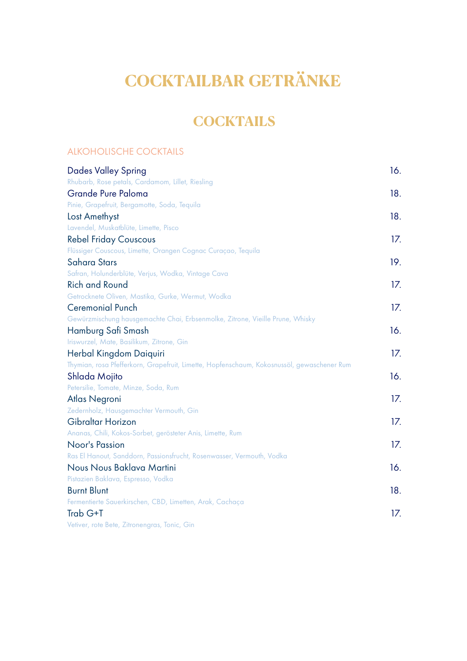# **COCKTAILBAR GETRÄNKE**

# **COCKTAILS**

### ALKOHOLISCHE COCKTAILS

| <b>Dades Valley Spring</b>                                                                 | 16. |
|--------------------------------------------------------------------------------------------|-----|
| Rhubarb, Rose petals, Cardamom, Lillet, Riesling                                           |     |
| Grande Pure Paloma                                                                         | 18. |
| Pinie, Grapefruit, Bergamotte, Soda, Tequila                                               |     |
| Lost Amethyst                                                                              | 18. |
| Lavendel, Muskatblüte, Limette, Pisco                                                      |     |
| <b>Rebel Friday Couscous</b>                                                               | 17. |
| Flüssiger Couscous, Limette, Orangen Cognac Curaçao, Tequila                               |     |
| Sahara Stars                                                                               | 19. |
| Safran, Holunderblüte, Verjus, Wodka, Vintage Cava                                         |     |
| <b>Rich and Round</b>                                                                      | 17. |
| Getrocknete Oliven, Mastika, Gurke, Wermut, Wodka                                          |     |
| <b>Ceremonial Punch</b>                                                                    | 17. |
| Gewürzmischung hausgemachte Chai, Erbsenmolke, Zitrone, Vieille Prune, Whisky              |     |
| Hamburg Safi Smash                                                                         | 16. |
| Iriswurzel, Mate, Basilikum, Zitrone, Gin                                                  |     |
| Herbal Kingdom Daiquiri                                                                    | 17. |
| Thymian, rosa Pfefferkorn, Grapefruit, Limette, Hopfenschaum, Kokosnussöl, gewaschener Rum |     |
| Shlada Mojito                                                                              | 16. |
| Petersilie, Tomate, Minze, Soda, Rum                                                       |     |
| Atlas Negroni                                                                              | 17. |
| Zedernholz, Hausgemachter Vermouth, Gin                                                    |     |
| Gibraltar Horizon                                                                          | 17. |
| Ananas, Chili, Kokos-Sorbet, gerösteter Anis, Limette, Rum                                 |     |
| Noor's Passion                                                                             | 17. |
| Ras El Hanout, Sanddorn, Passionsfrucht, Rosenwasser, Vermouth, Vodka                      |     |
| Nous Nous Baklava Martini                                                                  | 16. |
| Pistazien Baklava, Espresso, Vodka                                                         |     |
| <b>Burnt Blunt</b>                                                                         | 18. |
| Fermentierte Sauerkirschen, CBD, Limetten, Arak, Cachaça                                   |     |
| Trab G+T                                                                                   | 17. |
| Vetiver, rote Bete, Zitronengras, Tonic, Gin                                               |     |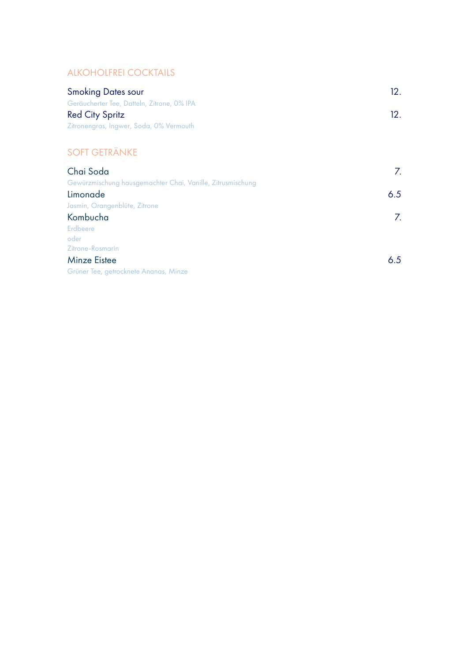### ALKOHOLFREI COCKTAILS

| <b>Smoking Dates sour</b>                                  | 12. |
|------------------------------------------------------------|-----|
| Geräucherter Tee, Datteln, Zitrone, 0% IPA                 |     |
| <b>Red City Spritz</b>                                     | 12. |
| Zitronengras, Ingwer, Soda, 0% Vermouth                    |     |
|                                                            |     |
| <b>SOFT GETRÄNKE</b>                                       |     |
| Chai Soda                                                  | 7.  |
| Gewürzmischung hausgemachter Chai, Vanille, Zitrusmischung |     |
| Limonade                                                   | 6.5 |
| Jasmin, Orangenblüte, Zitrone                              |     |
| Kombucha                                                   | 7.  |
| Erdbeere                                                   |     |
| oder                                                       |     |
| <b>Zitrone-Rosmarin</b>                                    |     |

| <b>Minze Eistee</b>                   | 6.5 |
|---------------------------------------|-----|
| Grüner Tee, getrocknete Ananas, Minze |     |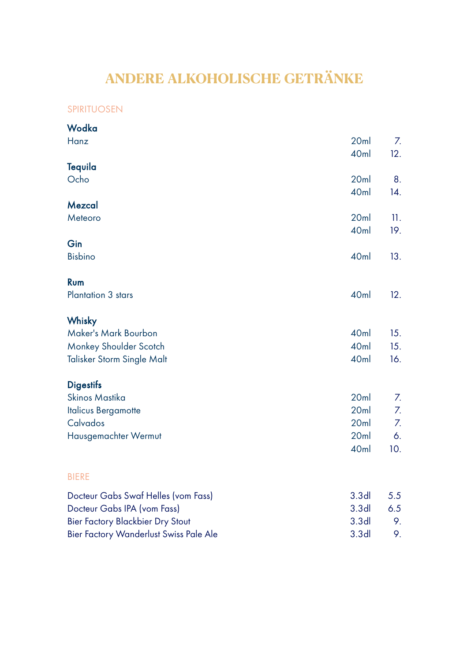# **ANDERE ALKOHOLISCHE GETRÄNKE**

### SPIRITUOSEN

| Wodka                                  |                          |           |
|----------------------------------------|--------------------------|-----------|
| Hanz                                   | 20ml<br>40 <sub>ml</sub> | 7.<br>12. |
| Tequila                                |                          |           |
| Ocho                                   | 20ml                     | 8.        |
| Mezcal                                 | 40 <sub>ml</sub>         | 14.       |
| Meteoro                                | 20ml                     | 11.       |
|                                        | 40 <sub>ml</sub>         | 19.       |
| Gin                                    |                          |           |
| <b>Bisbino</b>                         | 40 <sub>ml</sub>         | 13.       |
| Rum                                    |                          |           |
| <b>Plantation 3 stars</b>              | 40 <sub>ml</sub>         | 12.       |
| Whisky                                 |                          |           |
| Maker's Mark Bourbon                   | 40 <sub>ml</sub>         | 15.       |
| Monkey Shoulder Scotch                 | 40 <sub>ml</sub>         | 15.       |
| Talisker Storm Single Malt             | 40ml                     | 16.       |
| <b>Digestifs</b>                       |                          |           |
| Skinos Mastika                         | 20ml                     | 7.        |
| <b>Italicus Bergamotte</b>             | 20ml                     | 7.        |
| Calvados                               | 20ml                     | 7.        |
| Hausgemachter Wermut                   | 20ml                     | 6.        |
|                                        | 40ml                     | 10.       |
| <b>BIERE</b>                           |                          |           |
| Docteur Gabs Swaf Helles (vom Fass)    | 3.3 <sub>dl</sub>        | 5.5       |
| Docteur Gabs IPA (vom Fass)            | 3.3 <sub>dl</sub>        | 6.5       |
| Bier Factory Blackbier Dry Stout       | 3.3 <sub>dl</sub>        | 9.        |
| Bier Factory Wanderlust Swiss Pale Ale | 3.3 <sub>dl</sub>        | 9.        |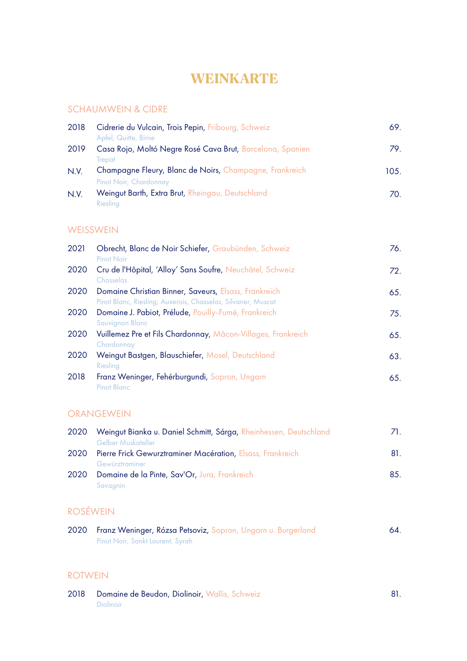# **WEINKARTE**

#### SCHAUMWEIN & CIDRE

| 2018 | Cidrerie du Vulcain, Trois Pepin, Fribourg, Schweiz<br>Apfel, Quitte, Birne            | 69.  |
|------|----------------------------------------------------------------------------------------|------|
| 2019 | Casa Rojo, Moltó Negre Rosé Cava Brut, Barcelona, Spanien                              | 79.  |
| N.V. | Trepat<br>Champagne Fleury, Blanc de Noirs, Champagne, Frankreich                      | 105. |
| N.V. | Pinot Noir, Chardonnay<br>Weingut Barth, Extra Brut, Rheingau, Deutschland<br>Riesling | 70.  |
|      |                                                                                        |      |

### WEISSWEIN

| 2021 | Obrecht, Blanc de Noir Schiefer, Graubünden, Schweiz<br>Pinot Noir                                                   | 76. |
|------|----------------------------------------------------------------------------------------------------------------------|-----|
| 2020 | Cru de l'Hôpital, 'Alloy' Sans Soufre, Neuchâtel, Schweiz<br>Chasselas                                               | 72. |
| 2020 | Domaine Christian Binner, Saveurs, Elsass, Frankreich                                                                | 65. |
| 2020 | Pinot Blanc, Riesling, Auxerois, Chasselas, Silvaner, Muscat<br>Domaine J. Pabiot, Prélude, Pouilly-Fumé, Frankreich | 75. |
| 2020 | Sauvignon Blanc<br>Vuillemez Pre et Fils Chardonnay, Mâcon-Villages, Frankreich                                      | 65. |
| 2020 | Chardonnay<br>Weingut Bastgen, Blauschiefer, Mosel, Deutschland                                                      | 63. |
| 2018 | Riesling<br>Franz Weninger, Fehérburgundi, Sopron, Ungarn                                                            | 65. |
|      | <b>Pinot Blanc</b>                                                                                                   |     |

### ORANGEWEIN

| 2020 | Weingut Bianka u. Daniel Schmitt, Sárga, Rheinhessen, Deutschland | ZL. |
|------|-------------------------------------------------------------------|-----|
|      | Gelber Muskateller                                                |     |
| 2020 | Pierre Frick Gewurztraminer Macération, Elsass, Frankreich        | 81. |
|      | Gewürztraminer                                                    |     |
| 2020 | Domaine de la Pinte, Sav'Or, Jura, Frankreich                     | 8.5 |
|      | Savagnin                                                          |     |

## ROSÉWEIN

| 2020 Franz Weninger, Rózsa Petsoviz, Sopron, Ungarn u. Burgerland | 64. |
|-------------------------------------------------------------------|-----|
| Pinot Noir, Sankt Laurent, Syrah                                  |     |

#### ROTWEIN

| 2018 Domaine de Beudon, Diolinoir, Wallis, Schweiz |  |
|----------------------------------------------------|--|
| <b>Diolinoir</b>                                   |  |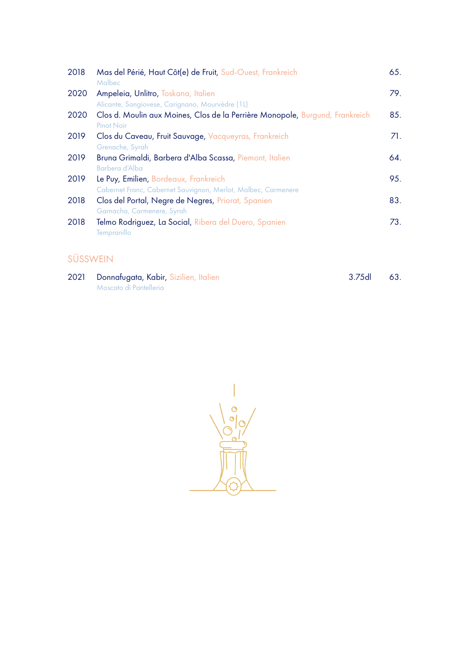| 2018 | Mas del Périé, Haut Côt(e) de Fruit, Sud-Ouest, Frankreich<br>Malbec                                   | 65. |
|------|--------------------------------------------------------------------------------------------------------|-----|
| 2020 | Ampeleia, Unlitro, Toskana, Italien<br>Alicante, Sangiovese, Carignano, Mourvèdre (1L)                 | 79. |
| 2020 | Clos d. Moulin aux Moines, Clos de la Perrière Monopole, Burgund, Frankreich<br>Pinot Noir             | 85. |
| 2019 | Clos du Caveau, Fruit Sauvage, Vacqueyras, Frankreich<br>Grenache, Syrah                               | 71. |
| 2019 | Bruna Grimaldi, Barbera d'Alba Scassa, Piemont, Italien<br>Barbera d'Alba                              | 64. |
| 2019 | Le Puy, Emilien, Bordeaux, Frankreich<br>Cabernet Franc, Cabernet Sauvignon, Merlot, Malbec, Carmenere | 95. |
| 2018 | Clos del Portal, Negre de Negres, Priorat, Spanien<br>Garnacha, Carmenere, Syrah                       | 83. |
| 2018 | Telmo Rodriguez, La Social, Ribera del Duero, Spanien<br>Tempranillo                                   | 73. |

# SÜSSWEIN

| 2021 Donnafugata, Kabir, Sizilien, Italien | $3.75d$ 63. |  |
|--------------------------------------------|-------------|--|
| Moscato di Pantelleria                     |             |  |

C  $\ddot{\circ}$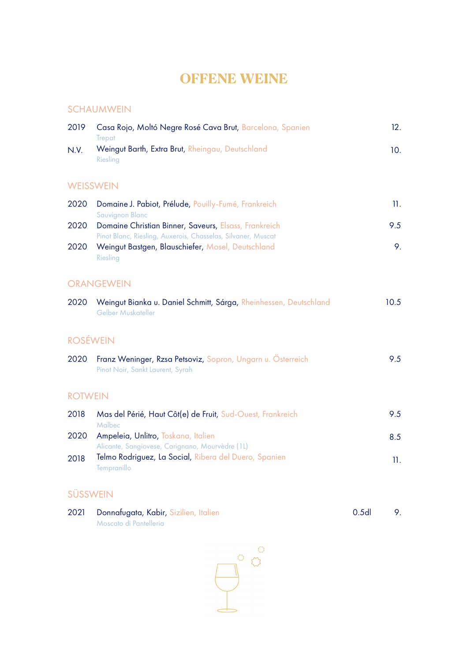# **OFFENE WEINE**

#### SCHAUMWEIN

| 2019             | Casa Rojo, Moltó Negre Rosé Cava Brut, Barcelona, Spanien<br>Trepat                                                   | 12.     |
|------------------|-----------------------------------------------------------------------------------------------------------------------|---------|
| N.V.             | Weingut Barth, Extra Brut, Rheingau, Deutschland<br>Riesling                                                          | 10.     |
| <b>WEISSWEIN</b> |                                                                                                                       |         |
| 2020             | Domaine J. Pabiot, Prélude, Pouilly-Fumé, Frankreich<br><b>Sauvignon Blanc</b>                                        | $\Pi$ . |
| 2020             | Domaine Christian Binner, Saveurs, Elsass, Frankreich<br>Pinot Blanc, Riesling, Auxerois, Chasselas, Silvaner, Muscat | 9.5     |
| 2020             | Weingut Bastgen, Blauschiefer, Mosel, Deutschland<br>Riesling                                                         | 9.      |
|                  | <b>ORANGEWEIN</b>                                                                                                     |         |
| 2020             | Weingut Bianka u. Daniel Schmitt, Sárga, Rheinhessen, Deutschland<br>Gelber Muskateller                               | 10.5    |
| <b>ROSÉWEIN</b>  |                                                                                                                       |         |
| 2020             | Franz Weninger, Rzsa Petsoviz, Sopron, Ungarn u. Österreich<br>Pinot Noir, Sankt Laurent, Syrah                       | 9.5     |
| <b>ROTWEIN</b>   |                                                                                                                       |         |
| 2018             | Mas del Périé, Haut Côt(e) de Fruit, Sud-Ouest, Frankreich<br>Malbec                                                  | 9.5     |
| 2020             | Ampeleia, Unlitro, Toskana, Italien<br>Alicante, Sangiovese, Carignano, Mourvèdre (1L)                                | 8.5     |
| 2018             | Telmo Rodriguez, La Social, Ribera del Duero, Spanien<br><b>Tempranillo</b>                                           | 11.     |

### SÜSSWEIN

| 2021 Donnafugata, Kabir, Sizilien, Italien | 0.5d |  |
|--------------------------------------------|------|--|
| Moscato di Pantelleria                     |      |  |

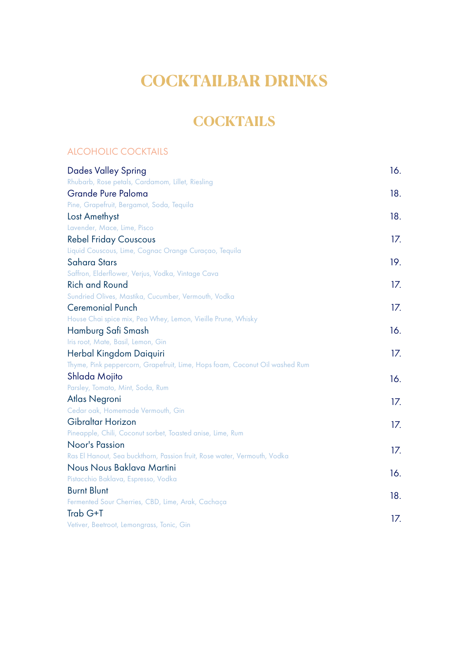# **COCKTAILBAR DRINKS**

# **COCKTAILS**

#### ALCOHOLIC COCKTAILS

| <b>Dades Valley Spring</b>                                                  | 16. |
|-----------------------------------------------------------------------------|-----|
| Rhubarb, Rose petals, Cardamom, Lillet, Riesling                            |     |
| Grande Pure Paloma                                                          | 18. |
| Pine, Grapefruit, Bergamot, Soda, Tequila                                   |     |
| Lost Amethyst                                                               | 18. |
| Lavender, Mace, Lime, Pisco                                                 |     |
| <b>Rebel Friday Couscous</b>                                                | 17. |
| Liquid Couscous, Lime, Cognac Orange Curaçao, Tequila                       |     |
| Sahara Stars                                                                | 19. |
| Saffron, Elderflower, Verjus, Vodka, Vintage Cava                           |     |
| <b>Rich and Round</b>                                                       | 17. |
| Sundried Olives, Mastika, Cucumber, Vermouth, Vodka                         |     |
| <b>Ceremonial Punch</b>                                                     | 17. |
| House Chai spice mix, Pea Whey, Lemon, Vieille Prune, Whisky                |     |
| Hamburg Safi Smash                                                          | 16. |
| Iris root, Mate, Basil, Lemon, Gin                                          |     |
| Herbal Kingdom Daiquiri                                                     | 17. |
| Thyme, Pink peppercorn, Grapefruit, Lime, Hops foam, Coconut Oil washed Rum |     |
| Shlada Mojito                                                               | 16. |
| Parsley, Tomato, Mint, Soda, Rum                                            |     |
| Atlas Negroni                                                               | 17. |
| Cedar oak, Homemade Vermouth, Gin                                           |     |
| Gibraltar Horizon                                                           | 17. |
| Pineapple, Chili, Coconut sorbet, Toasted anise, Lime, Rum                  |     |
| Noor's Passion                                                              | 17. |
| Ras El Hanout, Sea buckthorn, Passion fruit, Rose water, Vermouth, Vodka    |     |
| Nous Nous Baklava Martini                                                   | 16. |
| Pistacchio Baklava, Espresso, Vodka                                         |     |
| <b>Burnt Blunt</b>                                                          | 18. |
| Fermented Sour Cherries, CBD, Lime, Arak, Cachaça                           |     |
| Trab G+T                                                                    | 17. |
| Vetiver, Beetroot, Lemongrass, Tonic, Gin                                   |     |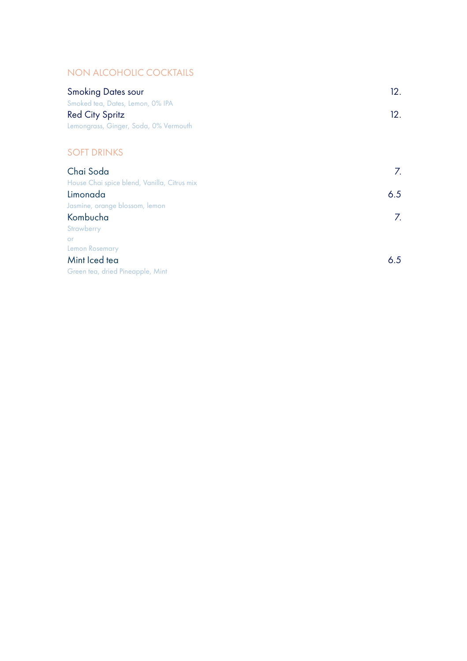### NON ALCOHOLIC COCKTAILS

| <b>Smoking Dates sour</b>                   | 12. |
|---------------------------------------------|-----|
| Smoked tea, Dates, Lemon, 0% IPA            |     |
| <b>Red City Spritz</b>                      | 12. |
| Lemongrass, Ginger, Soda, 0% Vermouth       |     |
|                                             |     |
| <b>SOFT DRINKS</b>                          |     |
| Chai Soda                                   | 7.  |
| House Chai spice blend, Vanilla, Citrus mix |     |
| Limonada                                    | 6.5 |
| Jasmine, orange blossom, lemon              |     |
| Kombucha                                    | 7.  |
| Strawberry                                  |     |
| <b>or</b>                                   |     |
| Lemon Rosemary                              |     |
| Mint Iced tea                               | 6.5 |
| Green tea, dried Pineapple, Mint            |     |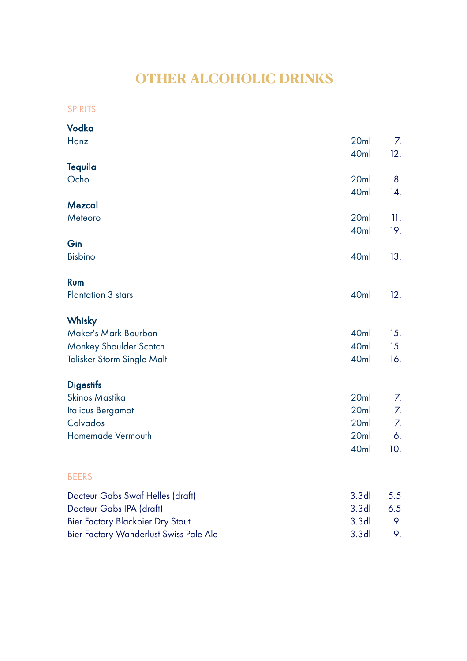# **OTHER ALCOHOLIC DRINKS**

SPIRITS

| Vodka                                  |                          |            |
|----------------------------------------|--------------------------|------------|
| Hanz                                   | 20ml<br>40 <sub>ml</sub> | 7.<br>12.  |
| <b>Tequila</b>                         |                          |            |
| Ocho                                   | 20ml<br>40 <sub>ml</sub> | 8.<br>14.  |
| Mezcal                                 |                          |            |
| Meteoro                                | 20ml<br>40ml             | 11.<br>19. |
| Gin                                    |                          |            |
| <b>Bisbino</b>                         | 40ml                     | 13.        |
| Rum                                    |                          |            |
| Plantation 3 stars                     | 40 <sub>ml</sub>         | 12.        |
| Whisky                                 |                          |            |
| Maker's Mark Bourbon                   | 40 <sub>ml</sub>         | 15.        |
| Monkey Shoulder Scotch                 | 40 <sub>ml</sub>         | 15.        |
| Talisker Storm Single Malt             | 40 <sub>ml</sub>         | 16.        |
| <b>Digestifs</b>                       |                          |            |
| Skinos Mastika                         | 20ml                     | 7.         |
| <b>Italicus Bergamot</b>               | 20ml                     | 7.         |
| Calvados                               | 20ml                     | 7.         |
| Homemade Vermouth                      | 20ml                     | 6.         |
|                                        | 40ml                     | 10.        |
| <b>BEERS</b>                           |                          |            |
| Docteur Gabs Swaf Helles (draft)       | 3.3 <sub>dl</sub>        | 5.5        |
| Docteur Gabs IPA (draft)               | 3.3 <sub>dl</sub>        | 6.5        |
| Bier Factory Blackbier Dry Stout       | 3.3 <sub>dl</sub>        | 9.         |
| Bier Factory Wanderlust Swiss Pale Ale | 3.3 <sub>dl</sub>        | 9.         |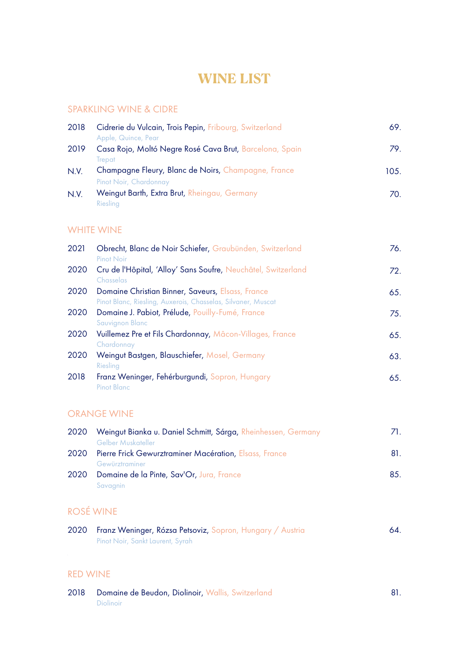# **WINE LIST**

#### SPARKLING WINE & CIDRE

| 2018 | Cidrerie du Vulcain, Trois Pepin, Fribourg, Switzerland<br>Apple, Quince, Pear | 69.  |
|------|--------------------------------------------------------------------------------|------|
| 2019 | Casa Rojo, Moltó Negre Rosé Cava Brut, Barcelona, Spain                        | 79.  |
| N.V. | Trepat<br>Champagne Fleury, Blanc de Noirs, Champagne, France                  | 105. |
|      | Pinot Noir, Chardonnay                                                         |      |
| N.V. | Weingut Barth, Extra Brut, Rheingau, Germany                                   | 70.  |
|      | Riesling                                                                       |      |

#### WHITE WINE

| 2021 | Obrecht, Blanc de Noir Schiefer, Graubünden, Switzerland<br>Pinot Noir                                           | 76. |
|------|------------------------------------------------------------------------------------------------------------------|-----|
| 2020 | Cru de l'Hôpital, 'Alloy' Sans Soufre, Neuchâtel, Switzerland<br>Chasselas                                       | 72. |
| 2020 | Domaine Christian Binner, Saveurs, Elsass, France                                                                | 65. |
| 2020 | Pinot Blanc, Riesling, Auxerois, Chasselas, Silvaner, Muscat<br>Domaine J. Pabiot, Prélude, Pouilly-Fumé, France | 75. |
| 2020 | Sauvignon Blanc<br>Vuillemez Pre et Fils Chardonnay, Mâcon-Villages, France                                      | 65. |
| 2020 | Chardonnay<br>Weingut Bastgen, Blauschiefer, Mosel, Germany                                                      | 63. |
| 2018 | Riesling<br>Franz Weninger, Fehérburgundi, Sopron, Hungary<br><b>Pinot Blanc</b>                                 | 65. |
|      |                                                                                                                  |     |

### ORANGE WINE

| 2020 | Weingut Bianka u. Daniel Schmitt, Sárga, Rheinhessen, Germany | ZL. |
|------|---------------------------------------------------------------|-----|
|      | Gelber Muskateller                                            |     |
| 2020 | Pierre Frick Gewurztraminer Macération, Elsass, France        | 81. |
|      | Gewürztraminer                                                |     |
| 2020 | Domaine de la Pinte, Sav'Or, Jura, France                     | 85. |
|      | Savagnin                                                      |     |

## ROSÉ WINE

| 2020 Franz Weninger, Rózsa Petsoviz, Sopron, Hungary / Austria | 64. |
|----------------------------------------------------------------|-----|
| <b>Pinot Noir, Sankt Laurent, Syrah</b>                        |     |

#### RED WINE

| 2018 Domaine de Beudon, Diolinoir, Wallis, Switzerland |  |
|--------------------------------------------------------|--|
| <b>Diolinoir</b>                                       |  |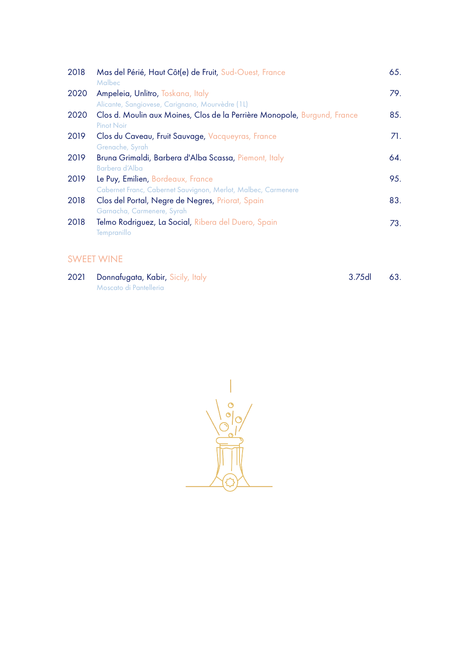| 2018 | Mas del Périé, Haut Côt(e) de Fruit, Sud-Ouest, France<br>Malbec                                   | 65. |
|------|----------------------------------------------------------------------------------------------------|-----|
| 2020 | Ampeleia, Unlitro, Toskana, Italy<br>Alicante, Sangiovese, Carignano, Mourvèdre (1L)               | 79. |
| 2020 | Clos d. Moulin aux Moines, Clos de la Perrière Monopole, Burgund, France<br>Pinot Noir             | 85. |
| 2019 | Clos du Caveau, Fruit Sauvage, Vacqueyras, France<br>Grenache, Syrah                               | 71. |
| 2019 | Bruna Grimaldi, Barbera d'Alba Scassa, Piemont, Italy<br>Barbera d'Alba                            | 64. |
| 2019 | Le Puy, Emilien, Bordeaux, France<br>Cabernet Franc, Cabernet Sauvignon, Merlot, Malbec, Carmenere | 95. |
| 2018 | Clos del Portal, Negre de Negres, Priorat, Spain<br>Garnacha, Carmenere, Syrah                     | 83. |
| 2018 | Telmo Rodriguez, La Social, Ribera del Duero, Spain<br>Tempranillo                                 | 73. |

### SWEET WINE

| 2021 Donnafugata, Kabir, Sicily, Italy | $3.75d$ 63. |  |
|----------------------------------------|-------------|--|
| Moscato di Pantelleria                 |             |  |